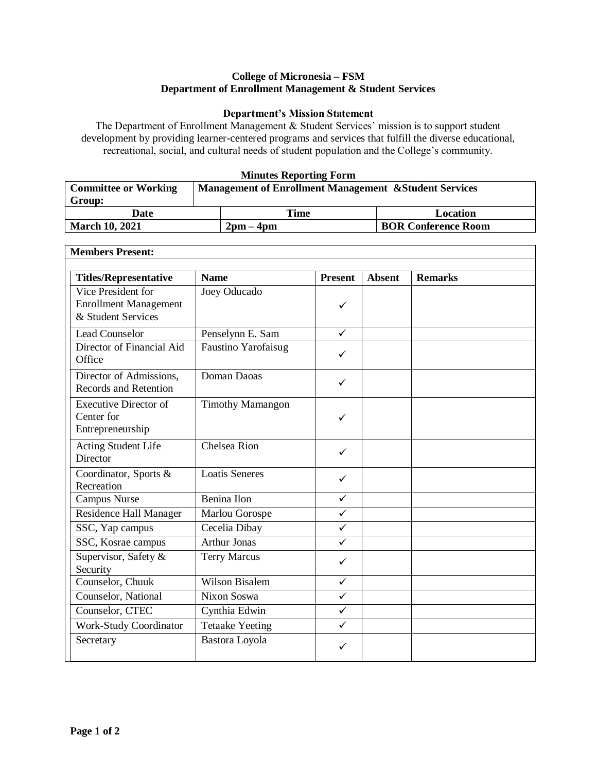## **College of Micronesia – FSM Department of Enrollment Management & Student Services**

## **Department's Mission Statement**

The Department of Enrollment Management & Student Services' mission is to support student development by providing learner-centered programs and services that fulfill the diverse educational, recreational, social, and cultural needs of student population and the College's community.

## **Minutes Reporting Form**

| <b>Committee or Working</b> | <b>Management of Enrollment Management &amp; Student Services</b> |           |                            |  |
|-----------------------------|-------------------------------------------------------------------|-----------|----------------------------|--|
| Group:                      |                                                                   |           |                            |  |
| Date                        |                                                                   | Time      | Location                   |  |
| <b>March 10, 2021</b>       |                                                                   | $2pm-4pm$ | <b>BOR Conference Room</b> |  |

٦

| <b>Members Present:</b>                                                  |                            |                |               |                |  |
|--------------------------------------------------------------------------|----------------------------|----------------|---------------|----------------|--|
| <b>Titles/Representative</b>                                             | <b>Name</b>                | <b>Present</b> | <b>Absent</b> | <b>Remarks</b> |  |
| Vice President for<br><b>Enrollment Management</b><br>& Student Services | Joey Oducado               | ✓              |               |                |  |
| <b>Lead Counselor</b>                                                    | Penselynn E. Sam           | $\checkmark$   |               |                |  |
| Director of Financial Aid<br>Office                                      | <b>Faustino Yarofaisug</b> | $\checkmark$   |               |                |  |
| Director of Admissions,<br>Records and Retention                         | Doman Daoas                | ✓              |               |                |  |
| <b>Executive Director of</b><br>Center for<br>Entrepreneurship           | <b>Timothy Mamangon</b>    | ✓              |               |                |  |
| Acting Student Life<br>Director                                          | Chelsea Rion               | ✓              |               |                |  |
| Coordinator, Sports &<br>Recreation                                      | <b>Loatis Seneres</b>      | $\checkmark$   |               |                |  |
| Campus Nurse                                                             | Benina Ilon                | $\checkmark$   |               |                |  |
| Residence Hall Manager                                                   | Marlou Gorospe             | ✓              |               |                |  |
| SSC, Yap campus                                                          | Cecelia Dibay              | $\checkmark$   |               |                |  |
| SSC, Kosrae campus                                                       | <b>Arthur Jonas</b>        | $\checkmark$   |               |                |  |
| Supervisor, Safety &<br>Security                                         | <b>Terry Marcus</b>        | ✓              |               |                |  |
| Counselor, Chuuk                                                         | <b>Wilson Bisalem</b>      | ✓              |               |                |  |
| Counselor, National                                                      | Nixon Soswa                | ✓              |               |                |  |
| Counselor, CTEC                                                          | Cynthia Edwin              | $\checkmark$   |               |                |  |
| <b>Work-Study Coordinator</b>                                            | <b>Tetaake Yeeting</b>     | $\checkmark$   |               |                |  |
| Secretary                                                                | Bastora Loyola             | ✓              |               |                |  |